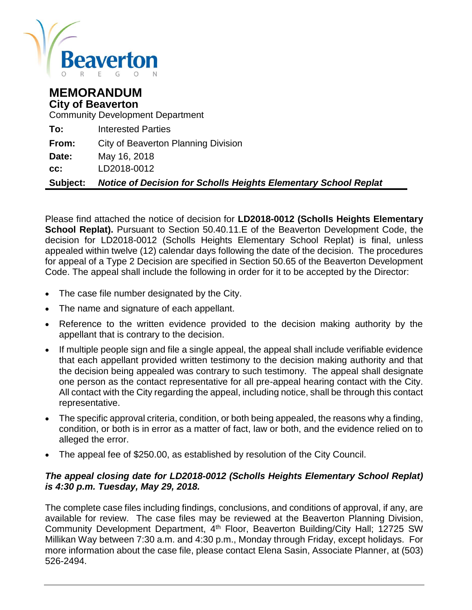

## **MEMORANDUM City of Beaverton**

Community Development Department

| <b>Subject:</b> | <b>Notice of Decision for Scholls Heights Elementary School Replat</b> |
|-----------------|------------------------------------------------------------------------|
| CC.             | LD2018-0012                                                            |
| Date:           | May 16, 2018                                                           |
| From:           | City of Beaverton Planning Division                                    |
| To:             | <b>Interested Parties</b>                                              |

Please find attached the notice of decision for **LD2018-0012 (Scholls Heights Elementary School Replat).** Pursuant to Section 50.40.11.E of the Beaverton Development Code, the decision for LD2018-0012 (Scholls Heights Elementary School Replat) is final, unless appealed within twelve (12) calendar days following the date of the decision. The procedures for appeal of a Type 2 Decision are specified in Section 50.65 of the Beaverton Development Code. The appeal shall include the following in order for it to be accepted by the Director:

- The case file number designated by the City.
- The name and signature of each appellant.
- Reference to the written evidence provided to the decision making authority by the appellant that is contrary to the decision.
- If multiple people sign and file a single appeal, the appeal shall include verifiable evidence that each appellant provided written testimony to the decision making authority and that the decision being appealed was contrary to such testimony. The appeal shall designate one person as the contact representative for all pre-appeal hearing contact with the City. All contact with the City regarding the appeal, including notice, shall be through this contact representative.
- The specific approval criteria, condition, or both being appealed, the reasons why a finding, condition, or both is in error as a matter of fact, law or both, and the evidence relied on to alleged the error.
- The appeal fee of \$250.00, as established by resolution of the City Council.

#### *The appeal closing date for LD2018-0012 (Scholls Heights Elementary School Replat) is 4:30 p.m. Tuesday, May 29, 2018.*

The complete case files including findings, conclusions, and conditions of approval, if any, are available for review. The case files may be reviewed at the Beaverton Planning Division, Community Development Department, 4<sup>th</sup> Floor, Beaverton Building/City Hall; 12725 SW Millikan Way between 7:30 a.m. and 4:30 p.m., Monday through Friday, except holidays. For more information about the case file, please contact Elena Sasin, Associate Planner, at (503) 526-2494.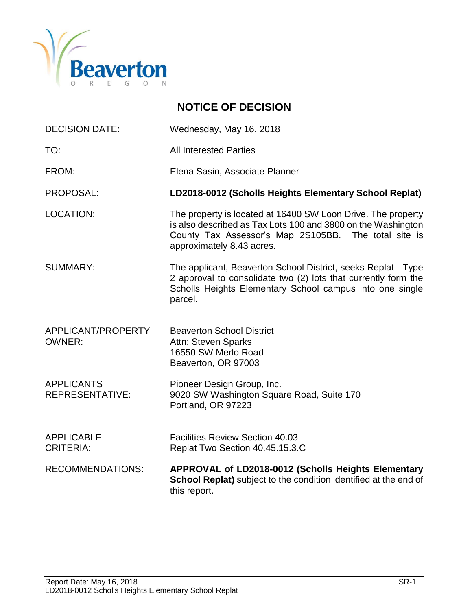

# **NOTICE OF DECISION**

| Wednesday, May 16, 2018                                                                                                                                                                                           |
|-------------------------------------------------------------------------------------------------------------------------------------------------------------------------------------------------------------------|
| <b>All Interested Parties</b>                                                                                                                                                                                     |
| Elena Sasin, Associate Planner                                                                                                                                                                                    |
| LD2018-0012 (Scholls Heights Elementary School Replat)                                                                                                                                                            |
| The property is located at 16400 SW Loon Drive. The property<br>is also described as Tax Lots 100 and 3800 on the Washington<br>County Tax Assessor's Map 2S105BB. The total site is<br>approximately 8.43 acres. |
| The applicant, Beaverton School District, seeks Replat - Type<br>2 approval to consolidate two (2) lots that currently form the<br>Scholls Heights Elementary School campus into one single<br>parcel.            |
| <b>Beaverton School District</b><br>Attn: Steven Sparks<br>16550 SW Merlo Road<br>Beaverton, OR 97003                                                                                                             |
| Pioneer Design Group, Inc.<br>9020 SW Washington Square Road, Suite 170<br>Portland, OR 97223                                                                                                                     |
| <b>Facilities Review Section 40.03</b><br>Replat Two Section 40.45.15.3.C                                                                                                                                         |
| APPROVAL of LD2018-0012 (Scholls Heights Elementary<br>School Replat) subject to the condition identified at the end of<br>this report.                                                                           |
|                                                                                                                                                                                                                   |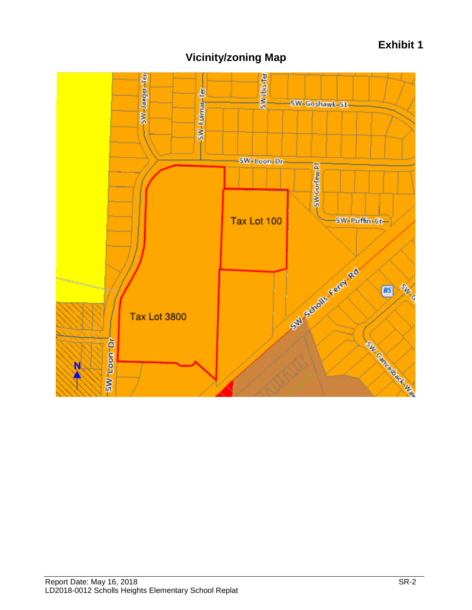# **Exhibit 1**



# **Vicinity/zoning Map**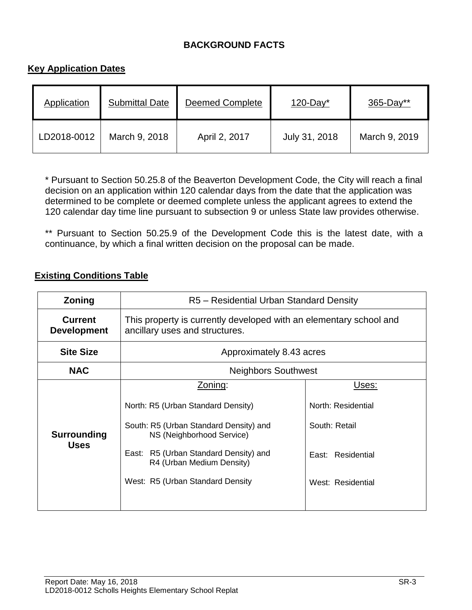#### **BACKGROUND FACTS**

#### **Key Application Dates**

| Application | <b>Submittal Date</b> | <b>Deemed Complete</b> | $120$ -Day <sup>*</sup> | $365 - Day**$ |
|-------------|-----------------------|------------------------|-------------------------|---------------|
| LD2018-0012 | March 9, 2018         | April 2, 2017          | July 31, 2018           | March 9, 2019 |

\* Pursuant to Section 50.25.8 of the Beaverton Development Code, the City will reach a final decision on an application within 120 calendar days from the date that the application was determined to be complete or deemed complete unless the applicant agrees to extend the 120 calendar day time line pursuant to subsection 9 or unless State law provides otherwise.

\*\* Pursuant to Section 50.25.9 of the Development Code this is the latest date, with a continuance, by which a final written decision on the proposal can be made.

#### **Existing Conditions Table**

| Zoning                               | R5 - Residential Urban Standard Density                                                                                                                                                                                           |                                                                                        |  |  |
|--------------------------------------|-----------------------------------------------------------------------------------------------------------------------------------------------------------------------------------------------------------------------------------|----------------------------------------------------------------------------------------|--|--|
| <b>Current</b><br><b>Development</b> | This property is currently developed with an elementary school and<br>ancillary uses and structures.                                                                                                                              |                                                                                        |  |  |
| <b>Site Size</b>                     | Approximately 8.43 acres                                                                                                                                                                                                          |                                                                                        |  |  |
| <b>NAC</b>                           | <b>Neighbors Southwest</b>                                                                                                                                                                                                        |                                                                                        |  |  |
| Surrounding<br><b>Uses</b>           | Zoning:<br>North: R5 (Urban Standard Density)<br>South: R5 (Urban Standard Density) and<br>NS (Neighborhood Service)<br>R5 (Urban Standard Density) and<br>East:<br>R4 (Urban Medium Density)<br>West: R5 (Urban Standard Density | Uses:<br>North: Residential<br>South: Retail<br>East: Residential<br>West: Residential |  |  |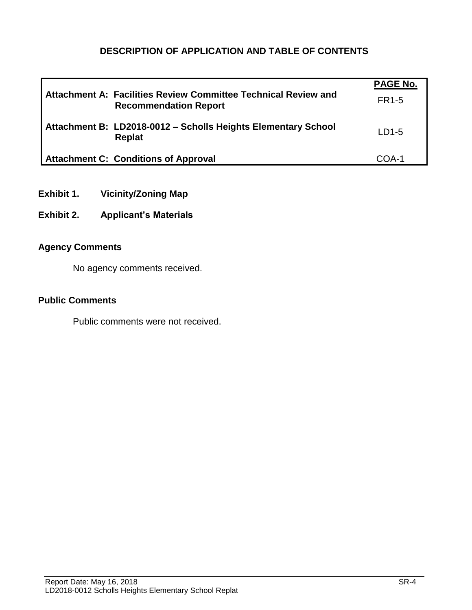## **DESCRIPTION OF APPLICATION AND TABLE OF CONTENTS**

|                                                                                                | <b>PAGE No.</b> |
|------------------------------------------------------------------------------------------------|-----------------|
| Attachment A: Facilities Review Committee Technical Review and<br><b>Recommendation Report</b> | <b>FR1-5</b>    |
| Attachment B: LD2018-0012 - Scholls Heights Elementary School<br>Replat                        | $LD1-5$         |
| <b>Attachment C: Conditions of Approval</b>                                                    | COA-1           |

- **Exhibit 1. Vicinity/Zoning Map**
- **Exhibit 2. Applicant's Materials**

#### **Agency Comments**

No agency comments received.

#### **Public Comments**

Public comments were not received.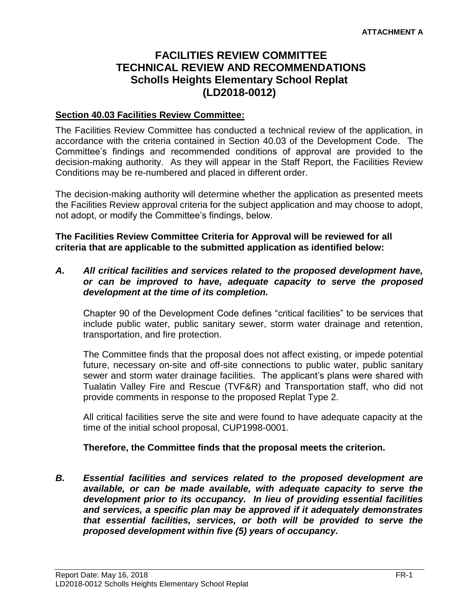# **FACILITIES REVIEW COMMITTEE TECHNICAL REVIEW AND RECOMMENDATIONS Scholls Heights Elementary School Replat (LD2018-0012)**

#### **Section 40.03 Facilities Review Committee:**

The Facilities Review Committee has conducted a technical review of the application, in accordance with the criteria contained in Section 40.03 of the Development Code. The Committee's findings and recommended conditions of approval are provided to the decision-making authority. As they will appear in the Staff Report, the Facilities Review Conditions may be re-numbered and placed in different order.

The decision-making authority will determine whether the application as presented meets the Facilities Review approval criteria for the subject application and may choose to adopt, not adopt, or modify the Committee's findings, below.

**The Facilities Review Committee Criteria for Approval will be reviewed for all criteria that are applicable to the submitted application as identified below:**

#### *A. All critical facilities and services related to the proposed development have, or can be improved to have, adequate capacity to serve the proposed development at the time of its completion.*

Chapter 90 of the Development Code defines "critical facilities" to be services that include public water, public sanitary sewer, storm water drainage and retention, transportation, and fire protection.

The Committee finds that the proposal does not affect existing, or impede potential future, necessary on-site and off-site connections to public water, public sanitary sewer and storm water drainage facilities. The applicant's plans were shared with Tualatin Valley Fire and Rescue (TVF&R) and Transportation staff, who did not provide comments in response to the proposed Replat Type 2.

All critical facilities serve the site and were found to have adequate capacity at the time of the initial school proposal, CUP1998-0001.

#### **Therefore, the Committee finds that the proposal meets the criterion.**

*B. Essential facilities and services related to the proposed development are available, or can be made available, with adequate capacity to serve the development prior to its occupancy. In lieu of providing essential facilities and services, a specific plan may be approved if it adequately demonstrates that essential facilities, services, or both will be provided to serve the proposed development within five (5) years of occupancy.*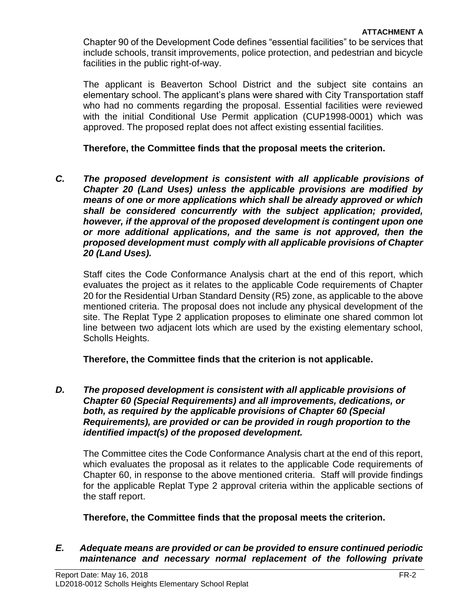Chapter 90 of the Development Code defines "essential facilities" to be services that include schools, transit improvements, police protection, and pedestrian and bicycle facilities in the public right-of-way.

The applicant is Beaverton School District and the subject site contains an elementary school. The applicant's plans were shared with City Transportation staff who had no comments regarding the proposal. Essential facilities were reviewed with the initial Conditional Use Permit application (CUP1998-0001) which was approved. The proposed replat does not affect existing essential facilities.

#### **Therefore, the Committee finds that the proposal meets the criterion.**

*C. The proposed development is consistent with all applicable provisions of Chapter 20 (Land Uses) unless the applicable provisions are modified by means of one or more applications which shall be already approved or which shall be considered concurrently with the subject application; provided, however, if the approval of the proposed development is contingent upon one or more additional applications, and the same is not approved, then the proposed development must comply with all applicable provisions of Chapter 20 (Land Uses).*

Staff cites the Code Conformance Analysis chart at the end of this report, which evaluates the project as it relates to the applicable Code requirements of Chapter 20 for the Residential Urban Standard Density (R5) zone, as applicable to the above mentioned criteria. The proposal does not include any physical development of the site. The Replat Type 2 application proposes to eliminate one shared common lot line between two adjacent lots which are used by the existing elementary school, Scholls Heights.

**Therefore, the Committee finds that the criterion is not applicable.** 

*D. The proposed development is consistent with all applicable provisions of Chapter 60 (Special Requirements) and all improvements, dedications, or both, as required by the applicable provisions of Chapter 60 (Special Requirements), are provided or can be provided in rough proportion to the identified impact(s) of the proposed development.*

The Committee cites the Code Conformance Analysis chart at the end of this report, which evaluates the proposal as it relates to the applicable Code requirements of Chapter 60, in response to the above mentioned criteria. Staff will provide findings for the applicable Replat Type 2 approval criteria within the applicable sections of the staff report.

#### **Therefore, the Committee finds that the proposal meets the criterion.**

#### *E. Adequate means are provided or can be provided to ensure continued periodic maintenance and necessary normal replacement of the following private*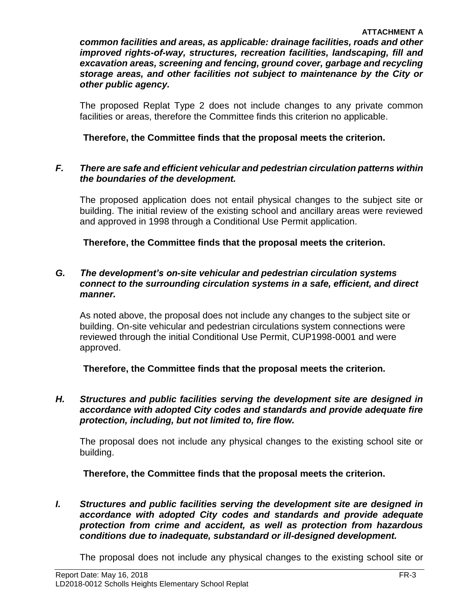*common facilities and areas, as applicable: drainage facilities, roads and other improved rights-of-way, structures, recreation facilities, landscaping, fill and excavation areas, screening and fencing, ground cover, garbage and recycling storage areas, and other facilities not subject to maintenance by the City or other public agency.*

The proposed Replat Type 2 does not include changes to any private common facilities or areas, therefore the Committee finds this criterion no applicable.

**Therefore, the Committee finds that the proposal meets the criterion.** 

#### *F. There are safe and efficient vehicular and pedestrian circulation patterns within the boundaries of the development.*

The proposed application does not entail physical changes to the subject site or building. The initial review of the existing school and ancillary areas were reviewed and approved in 1998 through a Conditional Use Permit application.

**Therefore, the Committee finds that the proposal meets the criterion.** 

#### *G. The development's on-site vehicular and pedestrian circulation systems connect to the surrounding circulation systems in a safe, efficient, and direct manner.*

As noted above, the proposal does not include any changes to the subject site or building. On-site vehicular and pedestrian circulations system connections were reviewed through the initial Conditional Use Permit, CUP1998-0001 and were approved.

**Therefore, the Committee finds that the proposal meets the criterion.** 

#### *H. Structures and public facilities serving the development site are designed in accordance with adopted City codes and standards and provide adequate fire protection, including, but not limited to, fire flow.*

The proposal does not include any physical changes to the existing school site or building.

**Therefore, the Committee finds that the proposal meets the criterion.** 

*I. Structures and public facilities serving the development site are designed in accordance with adopted City codes and standards and provide adequate protection from crime and accident, as well as protection from hazardous conditions due to inadequate, substandard or ill-designed development.*

The proposal does not include any physical changes to the existing school site or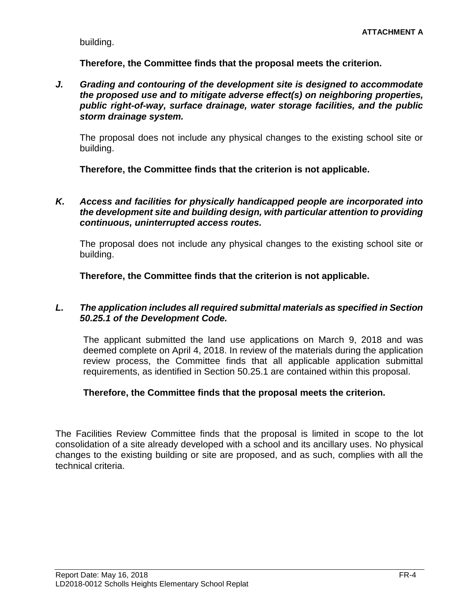building.

**Therefore, the Committee finds that the proposal meets the criterion.** 

*J. Grading and contouring of the development site is designed to accommodate the proposed use and to mitigate adverse effect(s) on neighboring properties, public right-of-way, surface drainage, water storage facilities, and the public storm drainage system.*

The proposal does not include any physical changes to the existing school site or building.

**Therefore, the Committee finds that the criterion is not applicable.** 

*K. Access and facilities for physically handicapped people are incorporated into the development site and building design, with particular attention to providing continuous, uninterrupted access routes.*

The proposal does not include any physical changes to the existing school site or building.

**Therefore, the Committee finds that the criterion is not applicable.** 

#### *L. The application includes all required submittal materials as specified in Section 50.25.1 of the Development Code.*

The applicant submitted the land use applications on March 9, 2018 and was deemed complete on April 4, 2018. In review of the materials during the application review process, the Committee finds that all applicable application submittal requirements, as identified in Section 50.25.1 are contained within this proposal.

#### **Therefore, the Committee finds that the proposal meets the criterion.**

The Facilities Review Committee finds that the proposal is limited in scope to the lot consolidation of a site already developed with a school and its ancillary uses. No physical changes to the existing building or site are proposed, and as such, complies with all the technical criteria.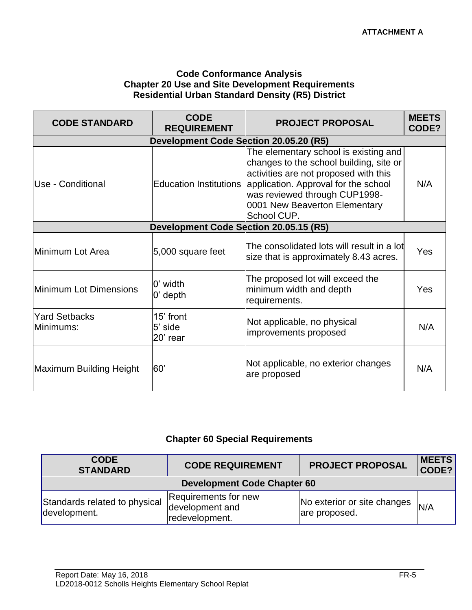#### **Code Conformance Analysis Chapter 20 Use and Site Development Requirements Residential Urban Standard Density (R5) District**

| <b>CODE STANDARD</b>                   | <b>CODE</b><br><b>REQUIREMENT</b>      | <b>PROJECT PROPOSAL</b>                                                                                                                                                                                                                            | <b>MEETS</b><br>CODE? |  |
|----------------------------------------|----------------------------------------|----------------------------------------------------------------------------------------------------------------------------------------------------------------------------------------------------------------------------------------------------|-----------------------|--|
| Development Code Section 20.05.20 (R5) |                                        |                                                                                                                                                                                                                                                    |                       |  |
| Use - Conditional                      | <b>Education Institutions</b>          | The elementary school is existing and<br>changes to the school building, site or<br>activities are not proposed with this<br>application. Approval for the school<br>was reviewed through CUP1998-<br>0001 New Beaverton Elementary<br>School CUP. | N/A                   |  |
|                                        | Development Code Section 20.05.15 (R5) |                                                                                                                                                                                                                                                    |                       |  |
| Minimum Lot Area                       | 5,000 square feet                      | The consolidated lots will result in a lot<br>size that is approximately 8.43 acres.                                                                                                                                                               | Yes                   |  |
| Minimum Lot Dimensions                 | 0' width<br>$0'$ depth                 | The proposed lot will exceed the<br>minimum width and depth<br>requirements.                                                                                                                                                                       | Yes                   |  |
| <b>Yard Setbacks</b><br>Minimums:      | 15' front<br>5' side<br>20' rear       | Not applicable, no physical<br>improvements proposed                                                                                                                                                                                               | N/A                   |  |
| Maximum Building Height                | 60'                                    | Not applicable, no exterior changes<br>are proposed                                                                                                                                                                                                | N/A                   |  |

#### **Chapter 60 Special Requirements**

| <b>CODE</b><br><b>STANDARD</b>                | <b>CODE REQUIREMENT</b>                                   | <b>PROJECT PROPOSAL</b>                      | <b>MEETS</b><br>CODE? |  |  |
|-----------------------------------------------|-----------------------------------------------------------|----------------------------------------------|-----------------------|--|--|
| <b>Development Code Chapter 60</b>            |                                                           |                                              |                       |  |  |
| Standards related to physical<br>development. | Requirements for new<br>development and<br>redevelopment. | No exterior or site changes<br>are proposed. | N/A                   |  |  |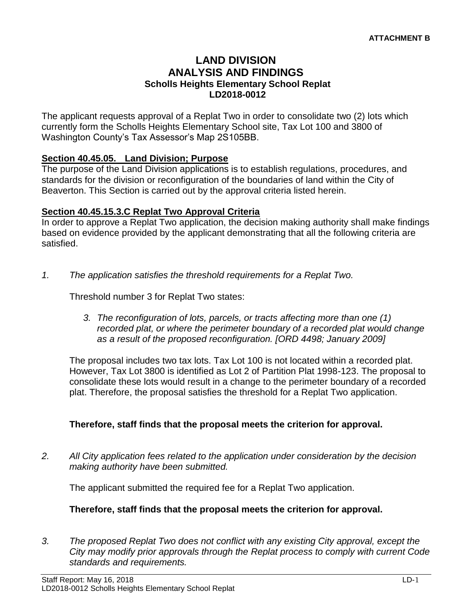#### **LAND DIVISION ANALYSIS AND FINDINGS Scholls Heights Elementary School Replat LD2018-0012**

The applicant requests approval of a Replat Two in order to consolidate two (2) lots which currently form the Scholls Heights Elementary School site, Tax Lot 100 and 3800 of Washington County's Tax Assessor's Map 2S105BB.

#### **Section 40.45.05. Land Division; Purpose**

The purpose of the Land Division applications is to establish regulations, procedures, and standards for the division or reconfiguration of the boundaries of land within the City of Beaverton. This Section is carried out by the approval criteria listed herein.

#### **Section 40.45.15.3.C Replat Two Approval Criteria**

In order to approve a Replat Two application, the decision making authority shall make findings based on evidence provided by the applicant demonstrating that all the following criteria are satisfied.

*1. The application satisfies the threshold requirements for a Replat Two.*

Threshold number 3 for Replat Two states:

*3. The reconfiguration of lots, parcels, or tracts affecting more than one (1) recorded plat, or where the perimeter boundary of a recorded plat would change as a result of the proposed reconfiguration. [ORD 4498; January 2009]*

The proposal includes two tax lots. Tax Lot 100 is not located within a recorded plat. However, Tax Lot 3800 is identified as Lot 2 of Partition Plat 1998-123. The proposal to consolidate these lots would result in a change to the perimeter boundary of a recorded plat. Therefore, the proposal satisfies the threshold for a Replat Two application.

#### **Therefore, staff finds that the proposal meets the criterion for approval.**

*2. All City application fees related to the application under consideration by the decision making authority have been submitted.*

The applicant submitted the required fee for a Replat Two application.

#### **Therefore, staff finds that the proposal meets the criterion for approval.**

*3. The proposed Replat Two does not conflict with any existing City approval, except the City may modify prior approvals through the Replat process to comply with current Code standards and requirements.*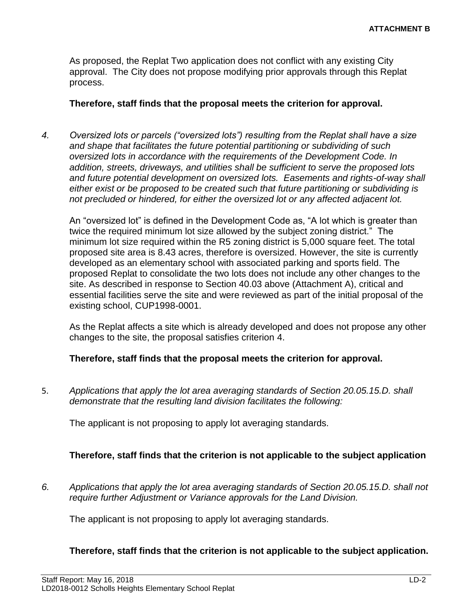As proposed, the Replat Two application does not conflict with any existing City approval. The City does not propose modifying prior approvals through this Replat process.

#### **Therefore, staff finds that the proposal meets the criterion for approval.**

*4. Oversized lots or parcels ("oversized lots") resulting from the Replat shall have a size and shape that facilitates the future potential partitioning or subdividing of such oversized lots in accordance with the requirements of the Development Code. In addition, streets, driveways, and utilities shall be sufficient to serve the proposed lots and future potential development on oversized lots. Easements and rights-of-way shall either exist or be proposed to be created such that future partitioning or subdividing is not precluded or hindered, for either the oversized lot or any affected adjacent lot.*

An "oversized lot" is defined in the Development Code as, "A lot which is greater than twice the required minimum lot size allowed by the subject zoning district." The minimum lot size required within the R5 zoning district is 5,000 square feet. The total proposed site area is 8.43 acres, therefore is oversized. However, the site is currently developed as an elementary school with associated parking and sports field. The proposed Replat to consolidate the two lots does not include any other changes to the site. As described in response to Section 40.03 above (Attachment A), critical and essential facilities serve the site and were reviewed as part of the initial proposal of the existing school, CUP1998-0001.

As the Replat affects a site which is already developed and does not propose any other changes to the site, the proposal satisfies criterion 4.

#### **Therefore, staff finds that the proposal meets the criterion for approval.**

5. *Applications that apply the lot area averaging standards of Section 20.05.15.D. shall demonstrate that the resulting land division facilitates the following:*

The applicant is not proposing to apply lot averaging standards.

#### **Therefore, staff finds that the criterion is not applicable to the subject application**

*6. Applications that apply the lot area averaging standards of Section 20.05.15.D. shall not require further Adjustment or Variance approvals for the Land Division.*

The applicant is not proposing to apply lot averaging standards.

#### **Therefore, staff finds that the criterion is not applicable to the subject application.**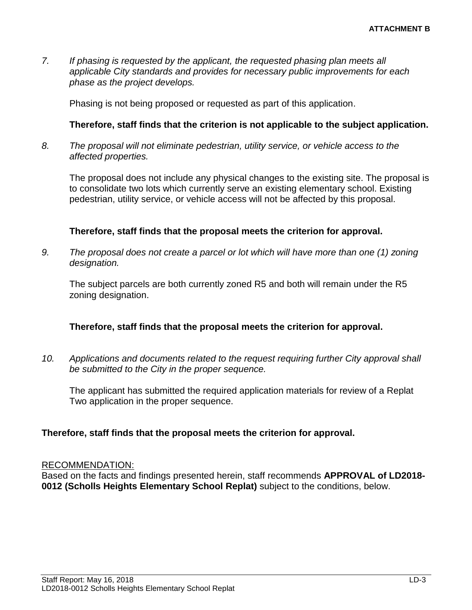*7. If phasing is requested by the applicant, the requested phasing plan meets all applicable City standards and provides for necessary public improvements for each phase as the project develops.*

Phasing is not being proposed or requested as part of this application.

#### **Therefore, staff finds that the criterion is not applicable to the subject application.**

*8. The proposal will not eliminate pedestrian, utility service, or vehicle access to the affected properties.*

The proposal does not include any physical changes to the existing site. The proposal is to consolidate two lots which currently serve an existing elementary school. Existing pedestrian, utility service, or vehicle access will not be affected by this proposal.

#### **Therefore, staff finds that the proposal meets the criterion for approval.**

*9. The proposal does not create a parcel or lot which will have more than one (1) zoning designation.*

The subject parcels are both currently zoned R5 and both will remain under the R5 zoning designation.

#### **Therefore, staff finds that the proposal meets the criterion for approval.**

*10. Applications and documents related to the request requiring further City approval shall be submitted to the City in the proper sequence.*

The applicant has submitted the required application materials for review of a Replat Two application in the proper sequence.

#### **Therefore, staff finds that the proposal meets the criterion for approval.**

#### RECOMMENDATION:

Based on the facts and findings presented herein, staff recommends **APPROVAL of LD2018- 0012 (Scholls Heights Elementary School Replat)** subject to the conditions, below.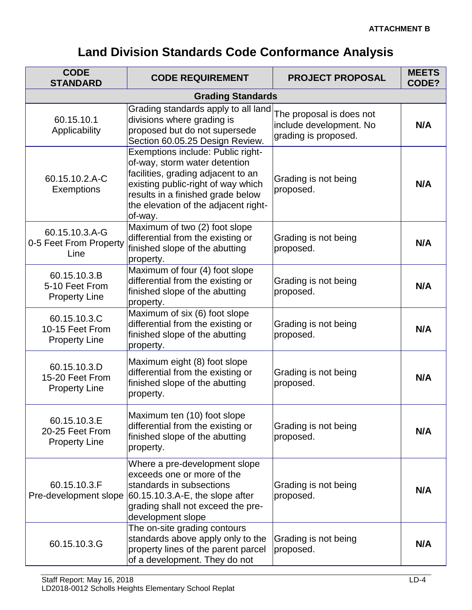# **Land Division Standards Code Conformance Analysis**

| <b>CODE</b><br><b>STANDARD</b>                          | <b>CODE REQUIREMENT</b>                                                                                                                                                                                                                | <b>PROJECT PROPOSAL</b>                                                     | <b>MEETS</b><br>CODE? |  |
|---------------------------------------------------------|----------------------------------------------------------------------------------------------------------------------------------------------------------------------------------------------------------------------------------------|-----------------------------------------------------------------------------|-----------------------|--|
| <b>Grading Standards</b>                                |                                                                                                                                                                                                                                        |                                                                             |                       |  |
| 60.15.10.1<br>Applicability                             | Grading standards apply to all land<br>divisions where grading is<br>proposed but do not supersede<br>Section 60.05.25 Design Review.                                                                                                  | The proposal is does not<br>include development. No<br>grading is proposed. | N/A                   |  |
| 60.15.10.2.A-C<br>Exemptions                            | Exemptions include: Public right-<br>of-way, storm water detention<br>facilities, grading adjacent to an<br>existing public-right of way which<br>results in a finished grade below<br>the elevation of the adjacent right-<br>of-way. | Grading is not being<br>proposed.                                           | N/A                   |  |
| 60.15.10.3.A-G<br>0-5 Feet From Property<br>Line        | Maximum of two (2) foot slope<br>differential from the existing or<br>finished slope of the abutting<br>property.                                                                                                                      | Grading is not being<br>proposed.                                           | N/A                   |  |
| 60.15.10.3.B<br>5-10 Feet From<br><b>Property Line</b>  | Maximum of four (4) foot slope<br>differential from the existing or<br>finished slope of the abutting<br>property.                                                                                                                     | Grading is not being<br>proposed.                                           | N/A                   |  |
| 60.15.10.3.C<br>10-15 Feet From<br><b>Property Line</b> | Maximum of six (6) foot slope<br>differential from the existing or<br>finished slope of the abutting<br>property.                                                                                                                      | Grading is not being<br>proposed.                                           | N/A                   |  |
| 60.15.10.3.D<br>15-20 Feet From<br><b>Property Line</b> | Maximum eight (8) foot slope<br>differential from the existing or<br>finished slope of the abutting<br>property.                                                                                                                       | Grading is not being<br>proposed.                                           | N/A                   |  |
| 60.15.10.3.E<br>20-25 Feet From<br><b>Property Line</b> | Maximum ten (10) foot slope<br>differential from the existing or<br>finished slope of the abutting<br>property.                                                                                                                        | Grading is not being<br>proposed.                                           | N/A                   |  |
| 60.15.10.3.F<br>Pre-development slope                   | Where a pre-development slope<br>exceeds one or more of the<br>standards in subsections<br>$60.15.10.3.A-E$ , the slope after<br>grading shall not exceed the pre-<br>development slope                                                | Grading is not being<br>proposed.                                           | N/A                   |  |
| 60.15.10.3.G                                            | The on-site grading contours<br>standards above apply only to the<br>property lines of the parent parcel<br>of a development. They do not                                                                                              | Grading is not being<br>proposed.                                           | N/A                   |  |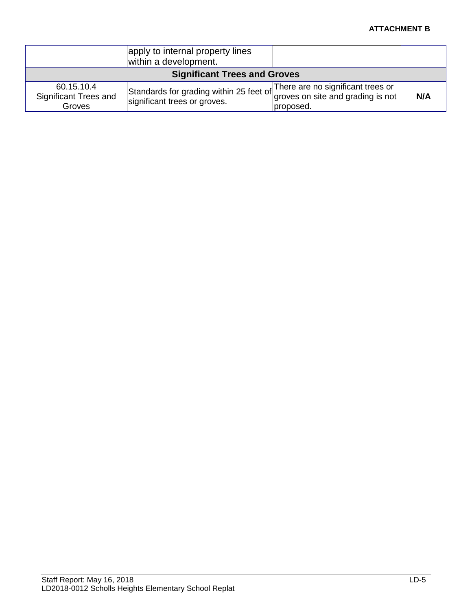#### **ATTACHMENT B**

|                                                      | apply to internal property lines<br>within a development.               |                                                                                     |     |
|------------------------------------------------------|-------------------------------------------------------------------------|-------------------------------------------------------------------------------------|-----|
| <b>Significant Trees and Groves</b>                  |                                                                         |                                                                                     |     |
| 60.15.10.4<br><b>Significant Trees and</b><br>Groves | Standards for grading within 25 feet of<br>significant trees or groves. | There are no significant trees or<br>groves on site and grading is not<br>proposed. | N/A |